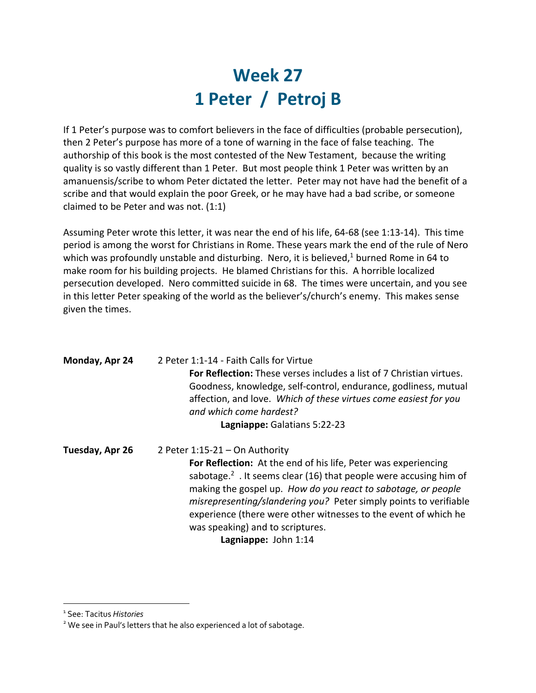## **Week 27 1 Peter / Petroj B**

If 1 Peter's purpose was to comfort believers in the face of difficulties (probable persecution), then 2 Peter's purpose has more of a tone of warning in the face of false teaching. The authorship of this book is the most contested of the New Testament, because the writing quality is so vastly different than 1 Peter. But most people think 1 Peter was written by an amanuensis/scribe to whom Peter dictated the letter. Peter may not have had the benefit of a scribe and that would explain the poor Greek, or he may have had a bad scribe, or someone claimed to be Peter and was not. (1:1)

Assuming Peter wrote this letter, it was near the end of his life, 64-68 (see 1:13-14). This time period is among the worst for Christians in Rome. These years mark the end of the rule of Nero which was profoundly unstable and disturbing. Nero, it is believed, $1$  burned Rome in 64 to make room for his building projects. He blamed Christians for this. A horrible localized persecution developed. Nero committed suicide in 68. The times were uncertain, and you see in this letter Peter speaking of the world as the believer's/church's enemy. This makes sense given the times.

| Monday, Apr 24  | 2 Peter 1:1-14 - Faith Calls for Virtue<br><b>For Reflection:</b> These verses includes a list of 7 Christian virtues.<br>Goodness, knowledge, self-control, endurance, godliness, mutual<br>affection, and love. Which of these virtues come easiest for you<br>and which come hardest?<br>Lagniappe: Galatians 5:22-23                                                                                                         |
|-----------------|----------------------------------------------------------------------------------------------------------------------------------------------------------------------------------------------------------------------------------------------------------------------------------------------------------------------------------------------------------------------------------------------------------------------------------|
| Tuesday, Apr 26 | 2 Peter $1:15-21$ - On Authority<br>For Reflection: At the end of his life, Peter was experiencing<br>sabotage. <sup>2</sup> . It seems clear (16) that people were accusing him of<br>making the gospel up. How do you react to sabotage, or people<br>misrepresenting/slandering you? Peter simply points to verifiable<br>experience (there were other witnesses to the event of which he<br>was speaking) and to scriptures. |

**Lagniappe:** John 1:14

<sup>1</sup> See: Tacitus *Histories*

<sup>&</sup>lt;sup>2</sup> We see in Paul's letters that he also experienced a lot of sabotage.